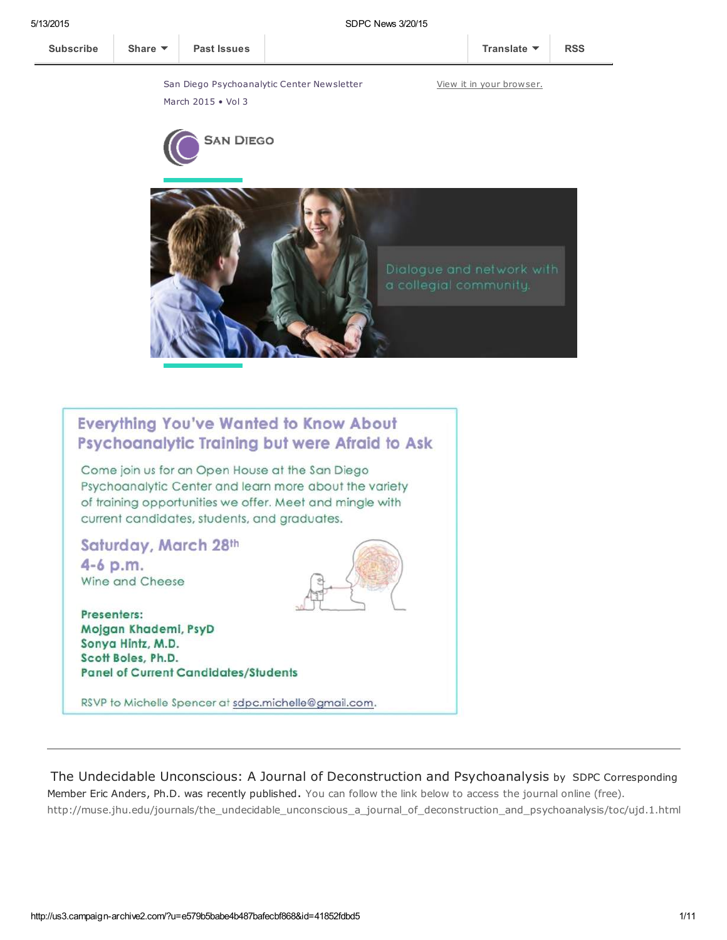March 2015 • Vol 3

San Diego Psychoanalytic Center Newsletter





# **Everything You've Wanted to Know About** Psychoanalytic Training but were Afraid to Ask

Come join us for an Open House at the San Diego Psychoanalytic Center and learn more about the variety of training opportunities we offer. Meet and mingle with current candidates, students, and graduates.

### Saturday, March 28th

4-6 p.m. Wine and Cheese

Presenters: Mojgan Khademi, PsyD Sonya Hintz, M.D. Scott Boles, Ph.D. **Panel of Current Candidates/Students** 

RSVP to Michelle Spencer at sdpc.michelle@gmail.com.

The Undecidable Unconscious: A Journal of Deconstruction and Psychoanalysis by SDPC Corresponding Member Eric Anders, Ph.D. was recently published. You can follow the link below to access the journal online (free). http://muse.jhu.edu/journals/the\_undecidable\_unconscious\_a\_journal\_of\_deconstruction\_and\_psychoanalysis/toc/ujd.1.html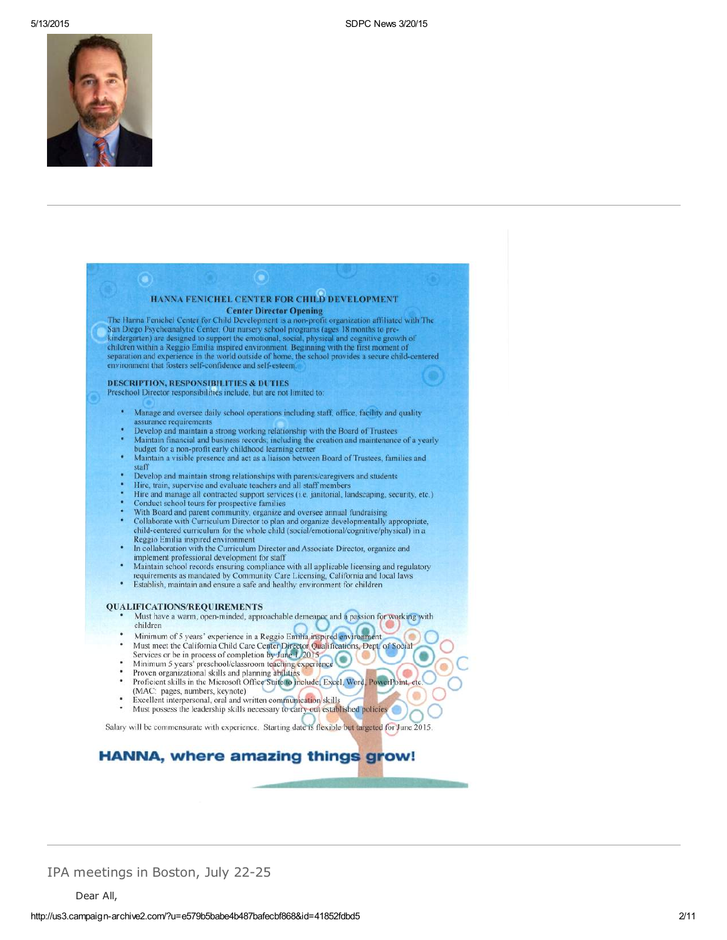

|        | HANNA FENICHEL CENTER FOR CHILD DEVELOPMENT                                                                                                                        |
|--------|--------------------------------------------------------------------------------------------------------------------------------------------------------------------|
|        | <b>Center Director Opening</b>                                                                                                                                     |
|        | The Hanna Fenichel Center for Child Development is a non-profit organization affiliated with The                                                                   |
|        | San Diego Psychoanalytic Center. Our nursery school programs (ages 18 months to pre-                                                                               |
|        | kindergarten) are designed to support the emotional, social, physical and cognitive growth of                                                                      |
|        | children within a Reggio Emilia inspired environment. Beginning with the first moment of                                                                           |
|        | separation and experience in the world outside of home, the school provides a secure child-centered                                                                |
|        | environment that fosters self-confidence and self-esteem.                                                                                                          |
|        | <b>DESCRIPTION, RESPONSIBILITIES &amp; DUTIES</b>                                                                                                                  |
|        | Preschool Director responsibilities include, but are not limited to:                                                                                               |
|        |                                                                                                                                                                    |
| ٠      | Manage and oversee daily school operations including staff, office, facility and quality                                                                           |
|        | assurance requirements                                                                                                                                             |
|        | Develop and maintain a strong working relationship with the Board of Trustees                                                                                      |
|        | Maintain financial and business records, including the creation and maintenance of a yearly                                                                        |
|        | budget for a non-profit early childhood learning center<br>Maintain a visible presence and act as a liaison between Board of Trustees, families and                |
|        | staff                                                                                                                                                              |
|        | Develop and maintain strong relationships with parents/caregivers and students                                                                                     |
|        | Hire, train, supervise and evaluate teachers and all staff members                                                                                                 |
|        | Hire and manage all contracted support services (i.e. janitorial, landscaping, security, etc.)                                                                     |
| ٠<br>٠ | Conduct school tours for prospective families                                                                                                                      |
| ٠      | With Board and parent community, organize and oversee annual fundraising<br>Collaborate with Curriculum Director to plan and organize developmentally appropriate. |
|        | child-centered curriculum for the whole child (social/emotional/cognitive/physical) in a                                                                           |
|        | Reggio Emilia inspired environment                                                                                                                                 |
| ٠      | In collaboration with the Curriculum Director and Associate Director, organize and                                                                                 |
|        | implement professional development for staff                                                                                                                       |
| ö      | Maintain school records ensuring compliance with all applicable licensing and regulatory                                                                           |
| ٠      | requirements as mandated by Community Care Licensing, California and local laws<br>Establish, maintain and ensure a safe and healthy environment for children      |
|        |                                                                                                                                                                    |
|        | <b>QUALIFICATIONS/REQUIREMENTS</b>                                                                                                                                 |
|        | Must have a warm, open-minded, approachable demeanor and a passion for working with                                                                                |
|        | children                                                                                                                                                           |
| ä      | Minimum of 5 years' experience in a Reggio Emilia inspired environment                                                                                             |
| ٠      | Must meet the California Child Care Center Director Qualifications, Dept. of Social                                                                                |
|        | Services or be in process of completion by June 1, 2015                                                                                                            |
| ٠<br>٠ | Minimum 5 years' preschool/classroom teaching experience                                                                                                           |
| ٠      | Proven organizational skills and planning abilities<br>Proficient skills in the Microsoft Office Suite to include; Excel, Word, PowerPoint, etc.                   |
|        | (MAC: pages, numbers, keynote)                                                                                                                                     |
|        | Excellent interpersonal, oral and written communication skills                                                                                                     |
| ٠      | Must possess the leadership skills necessary to carry out established policies                                                                                     |
|        |                                                                                                                                                                    |
|        | Salary will be commensurate with experience. Starting date is flexible but targeted for June 2015.                                                                 |

IPA meetings in Boston, July 22-25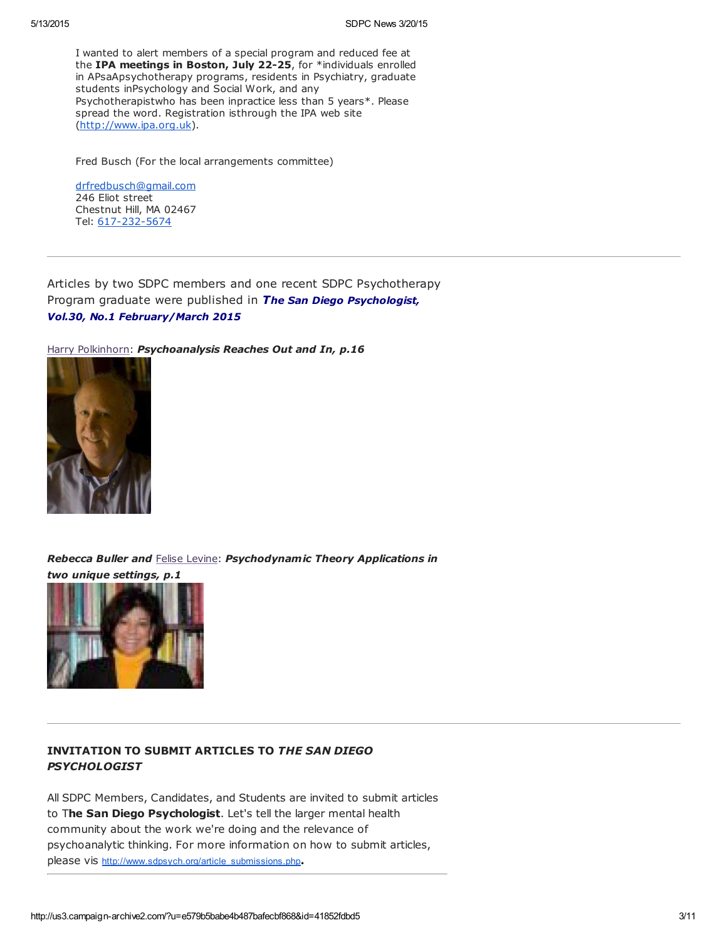I wanted to alert members of a special program and reduced fee at the IPA meetings in Boston, July 22-25, for \*individuals enrolled in APsaApsychotherapy programs, residents in Psychiatry, graduate students inPsychology and Social Work, and any Psychotherapistwho has been inpractice less than 5 years\*. Please spread the word. Registration isthrough the IPA web site [\(http://www.ipa.org.uk](http://www.ipa.org.uk/)).

Fred Busch (For the local arrangements committee)

[drfredbusch@gmail.com](mailto:drfredbusch@gmail.com) 246 Eliot street Chestnut Hill, MA 02467 Tel: [617-232-5674](tel:617-232-5674)

Articles by two SDPC members and one recent SDPC Psychotherapy Program graduate were published in The San Diego Psychologist, Vol.30, No.1 February/March 2015

Harry [Polkinhorn](http://www.sdpsychoanalyticcenter.org/members/profiles/65#profile-main): Psychoanalysis Reaches Out and In, p.16



Rebecca Buller and Felise [Levine](http://www.sdpsychoanalyticcenter.org/members/profiles/82#profile-main): Psychodynamic Theory Applications in two unique settings, p.1



### INVITATION TO SUBMIT ARTICLES TO THE SAN DIEGO **PSYCHOLOGIST**

All SDPC Members, Candidates, and Students are invited to submit articles to The San Diego Psychologist. Let's tell the larger mental health community about the work we're doing and the relevance of psychoanalytic thinking. For more information on how to submit articles, please vis [http://www.sdpsych.org/article\\_submissions.php](http://www.sdpsych.org/article_submissions.php).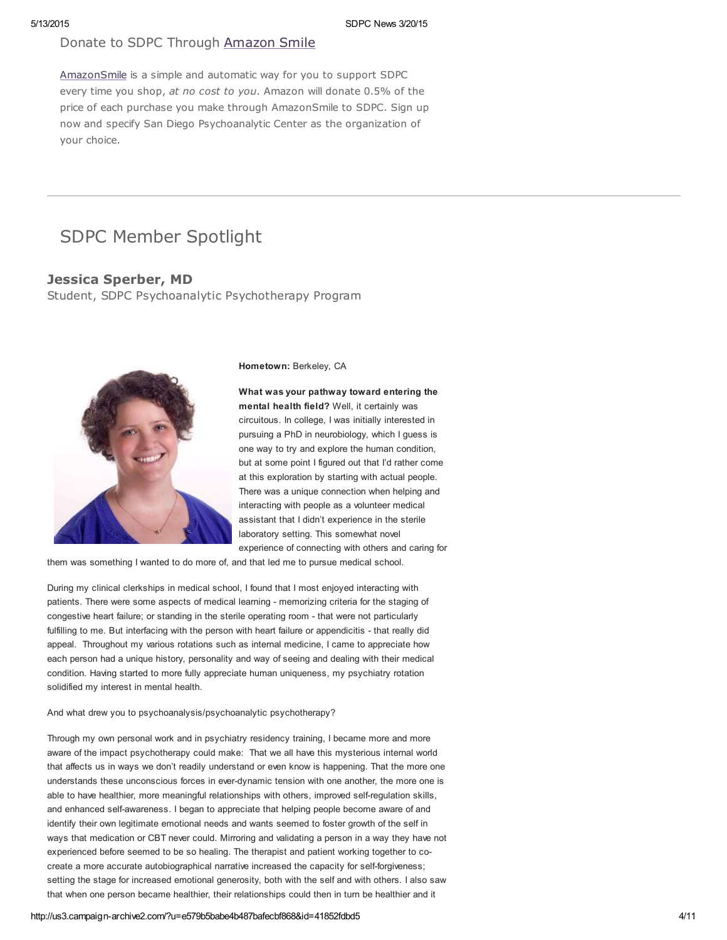### Donate to SDPC Through [Amazon](http://www.sdpsychoanalyticcenter.org/node/395#overlay-context=node/395) Smile

[AmazonSmile](http://smile.amazon.com/about) is a simple and automatic way for you to support SDPC every time you shop, at no cost to you. Amazon will donate 0.5% of the price of each purchase you make through AmazonSmile to SDPC. Sign up now and specify San Diego Psychoanalytic Center as the organization of your choice.

# SDPC Member Spotlight

### Jessica Sperber, MD

Student, SDPC Psychoanalytic Psychotherapy Program



Hometown: Berkeley, CA

What was your pathway toward entering the mental health field? Well, it certainly was circuitous. In college, I was initially interested in pursuing a PhD in neurobiology, which I guess is one way to try and explore the human condition, but at some point I figured out that I'd rather come at this exploration by starting with actual people. There was a unique connection when helping and interacting with people as a volunteer medical assistant that I didn't experience in the sterile laboratory setting. This somewhat novel experience of connecting with others and caring for

them was something I wanted to do more of, and that led me to pursue medical school.

During my clinical clerkships in medical school, I found that I most enjoyed interacting with patients. There were some aspects of medical learning - memorizing criteria for the staging of congestive heart failure; or standing in the sterile operating room - that were not particularly fulfilling to me. But interfacing with the person with heart failure or appendicitis - that really did appeal. Throughout my various rotations such as internal medicine, I came to appreciate how each person had a unique history, personality and way of seeing and dealing with their medical condition. Having started to more fully appreciate human uniqueness, my psychiatry rotation solidified my interest in mental health.

#### And what drew you to psychoanalysis/psychoanalytic psychotherapy?

Through my own personal work and in psychiatry residency training, I became more and more aware of the impact psychotherapy could make: That we all have this mysterious internal world that affects us in ways we don't readily understand or even know is happening. That the more one understands these unconscious forces in ever-dynamic tension with one another, the more one is able to have healthier, more meaningful relationships with others, improved self-regulation skills, and enhanced self-awareness. I began to appreciate that helping people become aware of and identify their own legitimate emotional needs and wants seemed to foster growth of the self in ways that medication or CBT never could. Mirroring and validating a person in a way they have not experienced before seemed to be so healing. The therapist and patient working together to cocreate a more accurate autobiographical narrative increased the capacity for self-forgiveness; setting the stage for increased emotional generosity, both with the self and with others. I also saw that when one person became healthier, their relationships could then in turn be healthier and it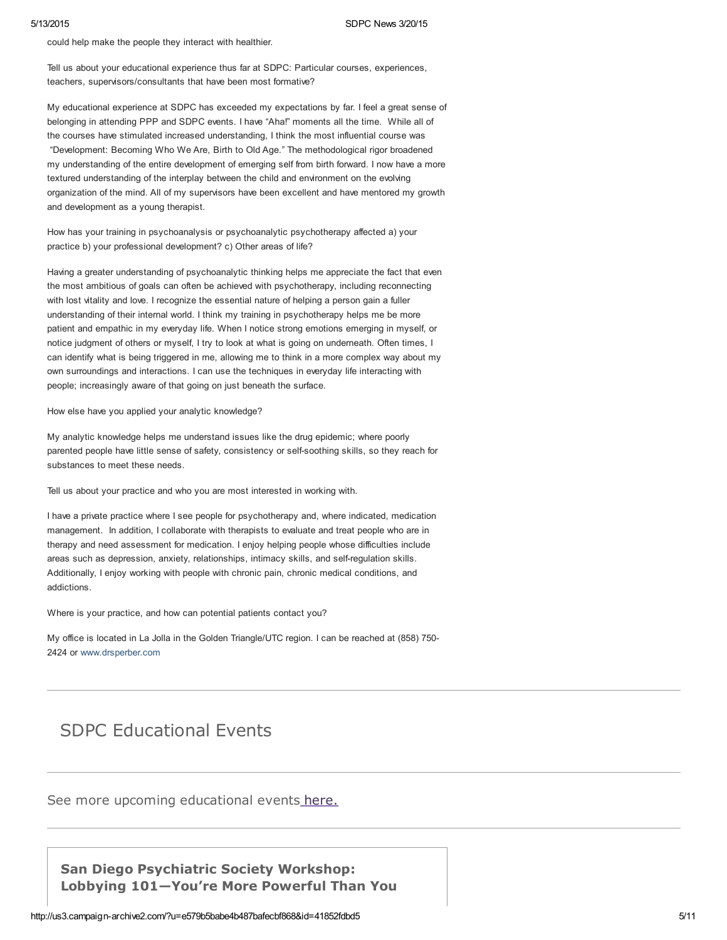could help make the people they interact with healthier.

Tell us about your educational experience thus far at SDPC: Particular courses, experiences, teachers, supervisors/consultants that have been most formative?

My educational experience at SDPC has exceeded my expectations by far. I feel a great sense of belonging in attending PPP and SDPC events. I have "Aha!" moments all the time. While all of the courses have stimulated increased understanding, I think the most influential course was "Development: Becoming Who We Are, Birth to Old Age." The methodological rigor broadened my understanding of the entire development of emerging self from birth forward. I now have a more textured understanding of the interplay between the child and environment on the evolving organization of the mind. All of my supervisors have been excellent and have mentored my growth and development as a young therapist.

How has your training in psychoanalysis or psychoanalytic psychotherapy affected a) your practice b) your professional development? c) Other areas of life?

Having a greater understanding of psychoanalytic thinking helps me appreciate the fact that even the most ambitious of goals can often be achieved with psychotherapy, including reconnecting with lost vitality and love. I recognize the essential nature of helping a person gain a fuller understanding of their internal world. I think my training in psychotherapy helps me be more patient and empathic in my everyday life. When I notice strong emotions emerging in myself, or notice judgment of others or myself, I try to look at what is going on underneath. Often times, I can identify what is being triggered in me, allowing me to think in a more complex way about my own surroundings and interactions. I can use the techniques in everyday life interacting with people; increasingly aware of that going on just beneath the surface.

How else have you applied your analytic knowledge?

My analytic knowledge helps me understand issues like the drug epidemic; where poorly parented people have little sense of safety, consistency or self-soothing skills, so they reach for substances to meet these needs.

Tell us about your practice and who you are most interested in working with.

I have a private practice where I see people for psychotherapy and, where indicated, medication management. In addition, I collaborate with therapists to evaluate and treat people who are in therapy and need assessment for medication. I enjoy helping people whose difficulties include areas such as depression, anxiety, relationships, intimacy skills, and self-regulation skills. Additionally, I enjoy working with people with chronic pain, chronic medical conditions, and addictions.

Where is your practice, and how can potential patients contact you?

My office is located in La Jolla in the Golden Triangle/UTC region. I can be reached at (858) 750- 2424 or [www.drsperber.com](http://www.drsperber.com/)

# SDPC Educational Events

See more upcoming educational events [here.](http://www.sdpsychoanalyticcenter.org/community-connections/upcoming-events)

San Diego Psychiatric Society Workshop: Lobbying 101—You're More Powerful Than You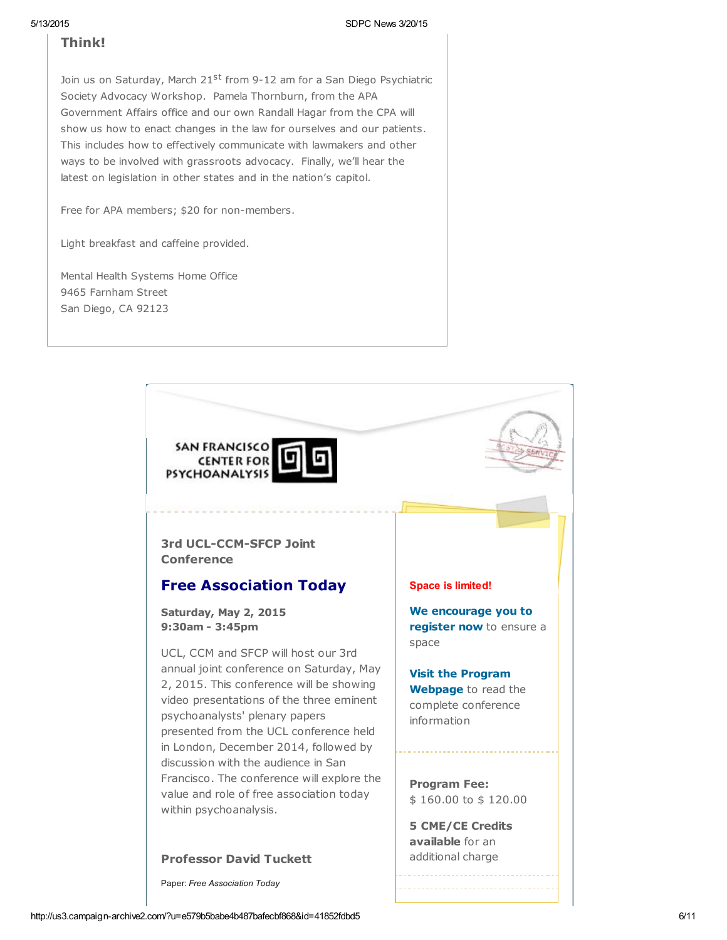## **Think!**

Join us on Saturday, March 21<sup>st</sup> from 9-12 am for a San Diego Psychiatric Society Advocacy Workshop. Pamela Thornburn, from the APA Government Affairs office and our own Randall Hagar from the CPA will show us how to enact changes in the law for ourselves and our patients. This includes how to effectively communicate with lawmakers and other ways to be involved with grassroots advocacy. Finally, we'll hear the latest on legislation in other states and in the nation's capitol.

Free for APA members; \$20 for non-members.

Light breakfast and caffeine provided.

Mental Health Systems Home Office 9465 Farnham Street San Diego, CA 92123



Paper: Free Association Today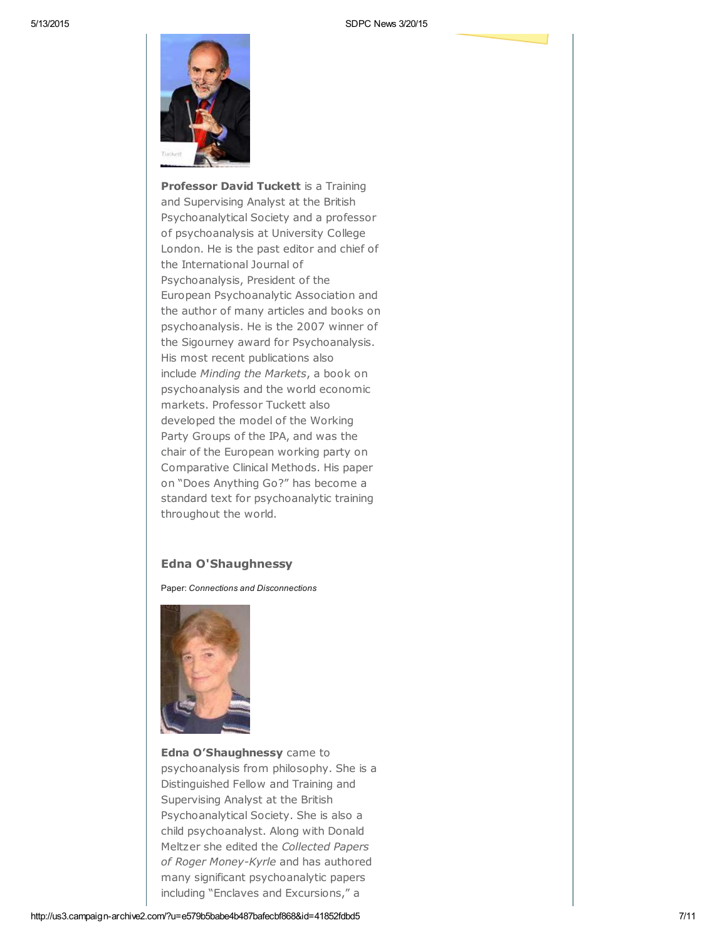

Professor David Tuckett is a Training and Supervising Analyst at the British Psychoanalytical Society and a professor of psychoanalysis at University College London. He is the past editor and chief of the International Journal of Psychoanalysis, President of the European Psychoanalytic Association and the author of many articles and books on psychoanalysis. He is the 2007 winner of the Sigourney award for Psychoanalysis. His most recent publications also include Minding the Markets, a book on psychoanalysis and the world economic markets. Professor Tuckett also developed the model of the Working Party Groups of the IPA, and was the chair of the European working party on Comparative Clinical Methods. His paper on "Does Anything Go?" has become a standard text for psychoanalytic training throughout the world.

### Edna O'Shaughnessy

Paper: Connections and Disconnections



Edna O'Shaughnessy came to psychoanalysis from philosophy. She is a Distinguished Fellow and Training and Supervising Analyst at the British Psychoanalytical Society. She is also a child psychoanalyst. Along with Donald Meltzer she edited the Collected Papers of Roger Money-Kyrle and has authored many significant psychoanalytic papers including "Enclaves and Excursions," a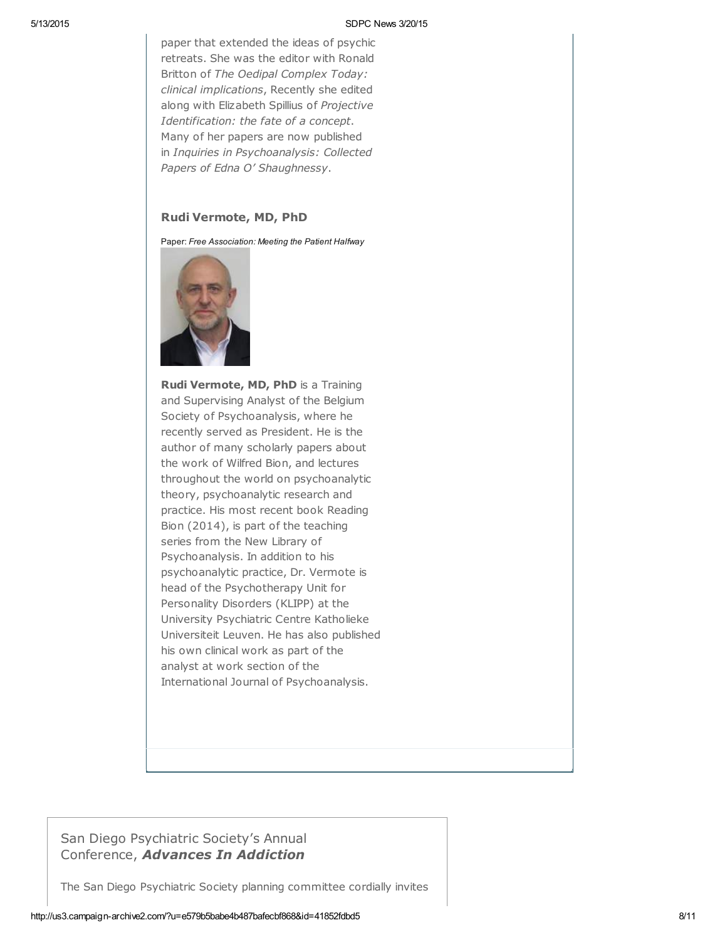paper that extended the ideas of psychic retreats. She was the editor with Ronald Britton of The Oedipal Complex Today: clinical implications, Recently she edited along with Elizabeth Spillius of Projective Identification: the fate of a concept. Many of her papers are now published in Inquiries in Psychoanalysis: Collected Papers of Edna O' Shaughnessy.

### Rudi Vermote, MD, PhD

Paper: Free Association: Meeting the Patient Halfway



Rudi Vermote, MD, PhD is a Training and Supervising Analyst of the Belgium Society of Psychoanalysis, where he recently served as President. He is the author of many scholarly papers about the work of Wilfred Bion, and lectures throughout the world on psychoanalytic theory, psychoanalytic research and practice. His most recent book Reading Bion (2014), is part of the teaching series from the New Library of Psychoanalysis. In addition to his psychoanalytic practice, Dr. Vermote is head of the Psychotherapy Unit for Personality Disorders (KLIPP) at the University Psychiatric Centre Katholieke Universiteit Leuven. He has also published his own clinical work as part of the analyst at work section of the International Journal of Psychoanalysis.

## San Diego Psychiatric Society's Annual Conference, Advances In Addiction

The San Diego Psychiatric Society planning committee cordially invites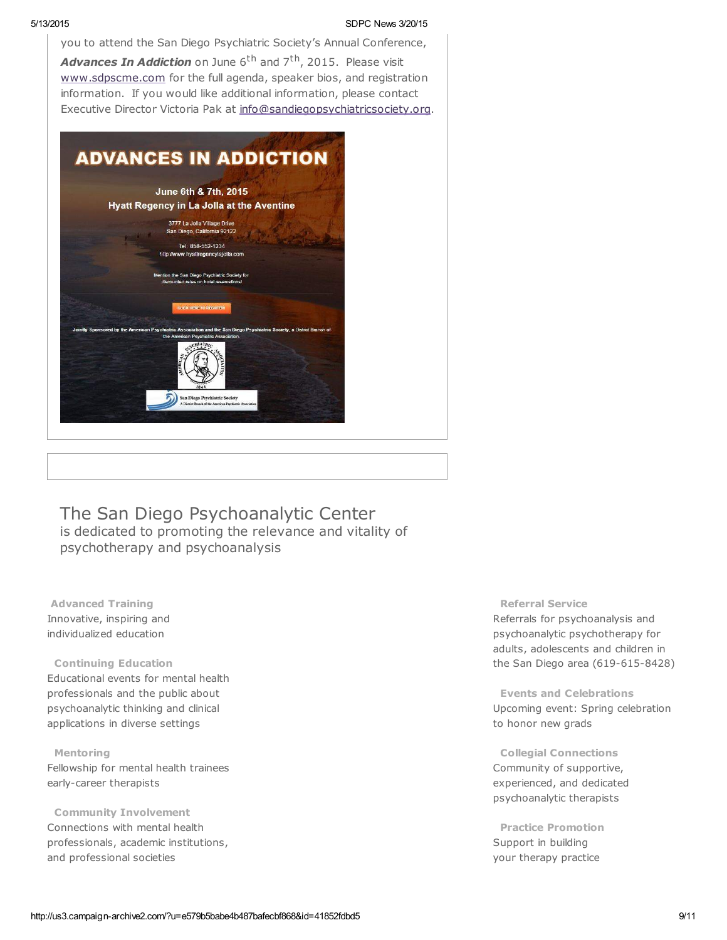you to attend the San Diego Psychiatric Society's Annual Conference, Advances In Addiction on June 6<sup>th</sup> and 7<sup>th</sup>, 2015. Please visit [www.sdpscme.](http://www.sdpscme.org/)[com](http://www.sdpscme.com/) for the full agenda, speaker bios, and registration information. If you would like additional information, please contact Executive Director Victoria Pak at [info@sandiegopsychiatricsociety.org.](mailto:victoria.pak@gmail.com)



The San Diego Psychoanalytic Center is dedicated to promoting the relevance and vitality of psychotherapy and psychoanalysis

Advanced Training Innovative, inspiring and individualized education

#### Continuing Education

Educational events for mental health professionals and the public about psychoanalytic thinking and clinical applications in diverse settings

Mentoring Fellowship for mental health trainees early-career therapists

Community Involvement Connections with mental health professionals, academic institutions, and professional societies

### Referral Service

Referrals for psychoanalysis and psychoanalytic psychotherapy for adults, adolescents and children in the San Diego area (619-615-8428)

Events and Celebrations Upcoming event: Spring celebration to honor new grads

Collegial Connections Community of supportive, experienced, and dedicated psychoanalytic therapists

Practice Promotion Support in building your therapy practice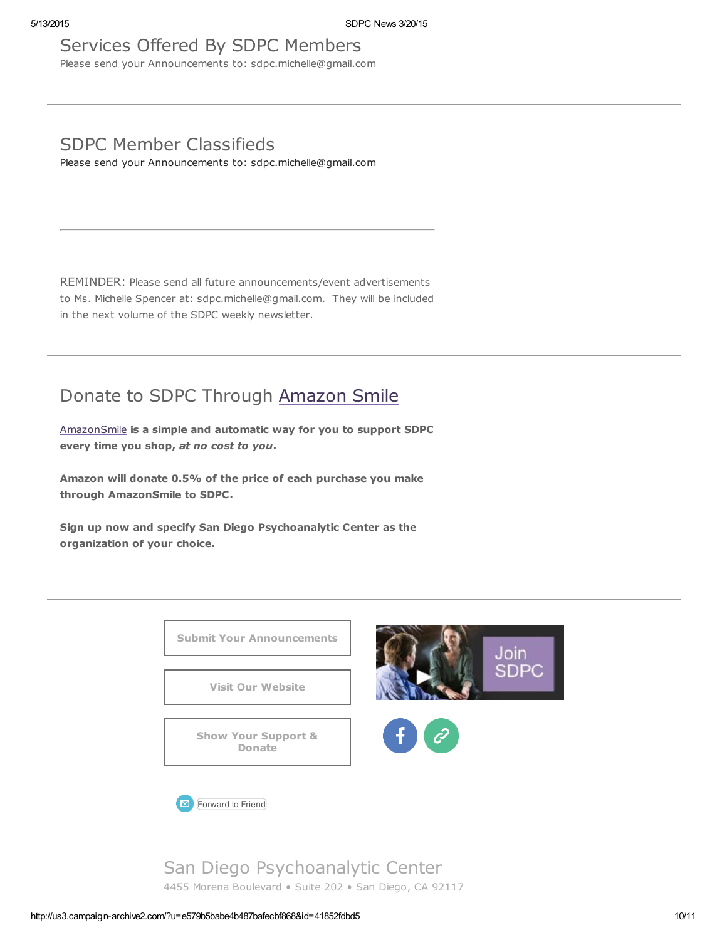# Services Offered By SDPC Members

Please send your Announcements to: sdpc.michelle@gmail.com

# SDPC Member Classifieds

Please send your Announcements to: sdpc.michelle@gmail.com

REMINDER: Please send all future announcements/event advertisements to Ms. Michelle Spencer at: sdpc.michelle@gmail.com. They will be included in the next volume of the SDPC weekly newsletter.

# Donate to SDPC Through [Amazon](http://www.sdpsychoanalyticcenter.org/node/395#overlay-context=node/395) Smile

[AmazonSmile](http://smile.amazon.com/about) is a simple and automatic way for you to support SDPC every time you shop, at no cost to you.

Amazon will donate 0.5% of the price of each purchase you make through AmazonSmile to SDPC.

Sign up now and specify San Diego Psychoanalytic Center as the organization of your choice.



San Diego Psychoanalytic Center 4455 Morena Boulevard • Suite 202 • San Diego, CA 92117